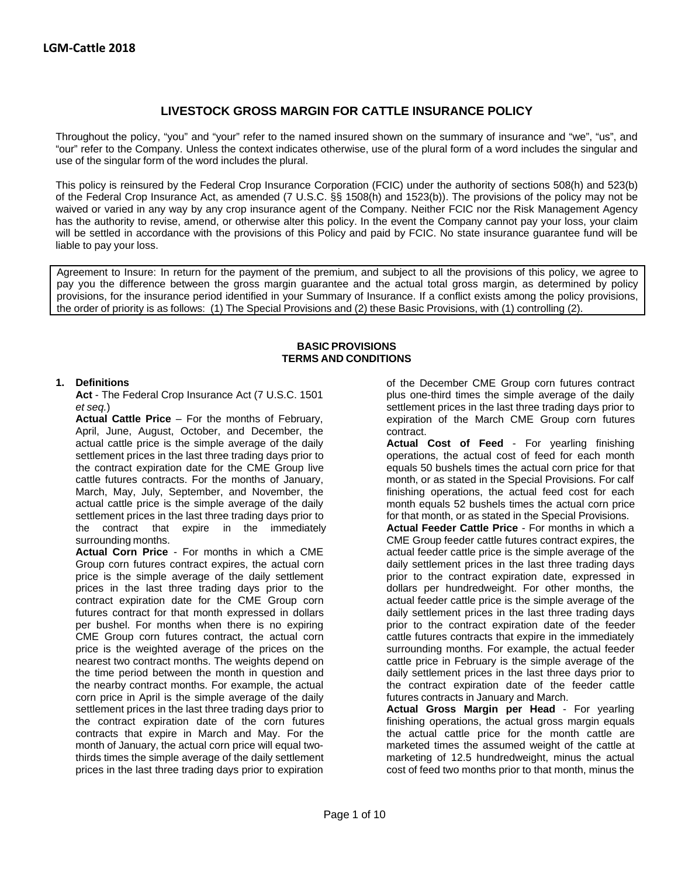# **LIVESTOCK GROSS MARGIN FOR CATTLE INSURANCE POLICY**

Throughout the policy, "you" and "your" refer to the named insured shown on the summary of insurance and "we", "us", and "our" refer to the Company. Unless the context indicates otherwise, use of the plural form of a word includes the singular and use of the singular form of the word includes the plural.

This policy is reinsured by the Federal Crop Insurance Corporation (FCIC) under the authority of sections 508(h) and 523(b) of the Federal Crop Insurance Act, as amended (7 U.S.C. §§ 1508(h) and 1523(b)). The provisions of the policy may not be waived or varied in any way by any crop insurance agent of the Company. Neither FCIC nor the Risk Management Agency has the authority to revise, amend, or otherwise alter this policy. In the event the Company cannot pay your loss, your claim will be settled in accordance with the provisions of this Policy and paid by FCIC. No state insurance guarantee fund will be liable to pay your loss.

Agreement to Insure: In return for the payment of the premium, and subject to all the provisions of this policy, we agree to pay you the difference between the gross margin guarantee and the actual total gross margin, as determined by policy provisions, for the insurance period identified in your Summary of Insurance. If a conflict exists among the policy provisions, the order of priority is as follows: (1) The Special Provisions and (2) these Basic Provisions, with (1) controlling (2).

#### **BASIC PROVISIONS TERMS AND CONDITIONS**

Act - The Federal Crop Insurance Act (7 U.S.C. 1501

**Actual Cattle Price** – For the months of February, April, June, August, October, and December, the contract. actual cattle price is the simple average of the daily **Actual Cost of Feed** - For yearling finishing<br>
settlement prices in the last three trading days prior to **Actual Cost of Feed** ost of feed for each month settlement prices in the last three trading days prior to operations, the actual cost of feed for each month the contract expiration date for the CME Group live equals 50 bushels times the actual corn price for that the contract expiration date for the CME Group live equals 50 bushels times the actual corn price for that cattle futures contracts. For the months of January,  $\frac{1}{2}$  month, or as stated in the Special Provisions. For c cattle futures contracts. For the months of January, month, or as stated in the Special Provisions. For calf<br>March, May, July, September, and November, the finishing operations, the actual feed cost for each March, May, July, September, and November, the finishing operations, the actual feed cost for each actual cattle price is the simple average of the daily month equals 52 bushels times the actual corn price actual cattle price is the simple average of the daily settlement prices in the last three trading days prior to for that month, or as stated in the Special Provisions.<br>
the contract that expire in the immediately **Actual Feeder Cattle Price** - For months in which a the contract that expire in the immediately surrounding months.

**Actual Corn Price** - For months in which a CME actual feeder cattle price is the simple average of the Group corn futures contract expires, the actual corn Group corn futures contract expires, the actual corn price is the simple average of the daily settlement prior to the contract expiration date, expressed in prices in the last three trading days prior to the dollars per hundredweight. For other months, the contract expiration date for the CME Group corn actual feeder cattle price is the simple average of the futures contract for that month expressed in dollars daily settlement prices in the last three trading days per bushel. For months when there is no expiring prior to the contract expiration date of the feeder CME Group corn futures contract, the actual corn cattle futures contracts that expire in the immediately price is the weighted average of the prices on the surrounding months. For example, the actual feeder nearest two contract months. The weights depend on cattle price in February is the simple average of the the time period between the month in question and daily settlement prices in the last three days prior to the nearby contract months. For example, the actual the contract expiration date of the feeder cattle corn price in April is the simple average of the daily futures contracts in January and March. settlement prices in the last three trading days prior to **Actual Gross Margin per Head** - For yearling the contract expiration date of the corn futures finishing operations, the actual gross margin equals<br>contracts that expire in March and May. For the schille actual cattle price for the month cattle are month of January, the actual corn price will equal two- marketed times the assumed weight of the cattle at thirds times the simple average of the daily settlement marketing of 12.5 hundredweight, minus the actual prices in the last three trading days prior to expiration cost of feed two months prior to that month, minus the

**1. Definitions** of the December CME Group corn futures contract<br>**Act** - The Federal Crop Insurance Act (7 U.S.C. 1501 plus one-third times the simple average of the daily *et seq.*) settlement prices in the last three trading days prior to

CME Group feeder cattle futures contract expires, the

the actual cattle price for the month cattle are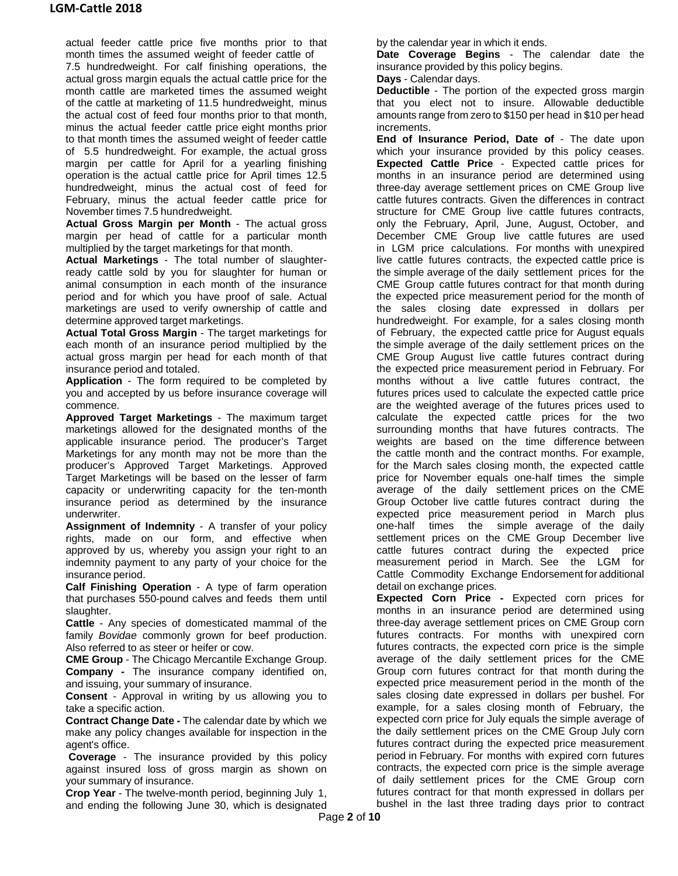actual feeder cattle price five months prior to that month times the assumed weight of feeder cattle of

7.5 hundredweight. For calf finishing operations, the actual gross margin equals the actual cattle price for the month cattle are marketed times the assumed weight of the cattle at marketing of 11.5 hundredweight, minus the actual cost of feed four months prior to that month, minus the actual feeder cattle price eight months prior to that month times the assumed weight of feeder cattle of 5.5 hundredweight. For example, the actual gross margin per cattle for April for a yearling finishing operation is the actual cattle price for April times 12.5 hundredweight, minus the actual cost of feed for February, minus the actual feeder cattle price for November times 7.5 hundredweight.

**Actual Gross Margin per Month** - The actual gross margin per head of cattle for a particular month multiplied by the target marketings for that month.

**Actual Marketings** - The total number of slaughterready cattle sold by you for slaughter for human or animal consumption in each month of the insurance period and for which you have proof of sale. Actual marketings are used to verify ownership of cattle and determine approved target marketings.

**Actual Total Gross Margin** - The target marketings for each month of an insurance period multiplied by the actual gross margin per head for each month of that insurance period and totaled.

**Application** - The form required to be completed by you and accepted by us before insurance coverage will commence.

**Approved Target Marketings** - The maximum target marketings allowed for the designated months of the applicable insurance period. The producer's Target Marketings for any month may not be more than the producer's Approved Target Marketings. Approved Target Marketings will be based on the lesser of farm capacity or underwriting capacity for the ten-month insurance period as determined by the insurance underwriter.

**Assignment of Indemnity** - A transfer of your policy rights, made on our form, and effective when approved by us, whereby you assign your right to an indemnity payment to any party of your choice for the insurance period.

**Calf Finishing Operation** - A type of farm operation that purchases 550-pound calves and feeds them until slaughter.

**Cattle** - Any species of domesticated mammal of the family *Bovidae* commonly grown for beef production. Also referred to as steer or heifer or cow.

**CME Group** - The Chicago Mercantile Exchange Group. **Company -** The insurance company identified on, and issuing, your summary of insurance.

**Consent** - Approval in writing by us allowing you to take a specific action.

**Contract Change Date -** The calendar date by which we make any policy changes available for inspection in the agent's office.

**Coverage** - The insurance provided by this policy against insured loss of gross margin as shown on your summary of insurance.

**Crop Year** - The twelve-month period, beginning July 1, and ending the following June 30, which is designated by the calendar year in which it ends.

**Date Coverage Begins** - The calendar date the insurance provided by this policy begins.

**Days** - Calendar days.

**Deductible** - The portion of the expected gross margin that you elect not to insure. Allowable deductible amounts range from zero to \$150 per head in \$10 per head increments.

**End of Insurance Period, Date of** - The date upon which your insurance provided by this policy ceases. **Expected Cattle Price** - Expected cattle prices for months in an insurance period are determined using three-day average settlement prices on CME Group live cattle futures contracts. Given the differences in contract structure for CME Group live cattle futures contracts, only the February, April, June, August, October, and December CME Group live cattle futures are used in LGM price calculations. For months with unexpired live cattle futures contracts, the expected cattle price is the simple average of the daily settlement prices for the CME Group cattle futures contract for that month during the expected price measurement period for the month of the sales closing date expressed in dollars per hundredweight. For example, for a sales closing month of February, the expected cattle price for August equals the simple average of the daily settlement prices on the CME Group August live cattle futures contract during the expected price measurement period in February. For months without a live cattle futures contract, the futures prices used to calculate the expected cattle price are the weighted average of the futures prices used to calculate the expected cattle prices for the two surrounding months that have futures contracts. The weights are based on the time difference between the cattle month and the contract months. For example, for the March sales closing month, the expected cattle price for November equals one-half times the simple average of the daily settlement prices on the CME Group October live cattle futures contract during the expected price measurement period in March plus one-half times the simple average of the daily settlement prices on the CME Group December live cattle futures contract during the expected price measurement period in March. See the LGM for Cattle Commodity Exchange Endorsement for additional detail on exchange prices.

**Expected Corn Price -** Expected corn prices for months in an insurance period are determined using three-day average settlement prices on CME Group corn futures contracts. For months with unexpired corn futures contracts, the expected corn price is the simple average of the daily settlement prices for the CME Group corn futures contract for that month during the expected price measurement period in the month of the sales closing date expressed in dollars per bushel. For example, for a sales closing month of February, the expected corn price for July equals the simple average of the daily settlement prices on the CME Group July corn futures contract during the expected price measurement period in February. For months with expired corn futures contracts, the expected corn price is the simple average of daily settlement prices for the CME Group corn futures contract for that month expressed in dollars per bushel in the last three trading days prior to contract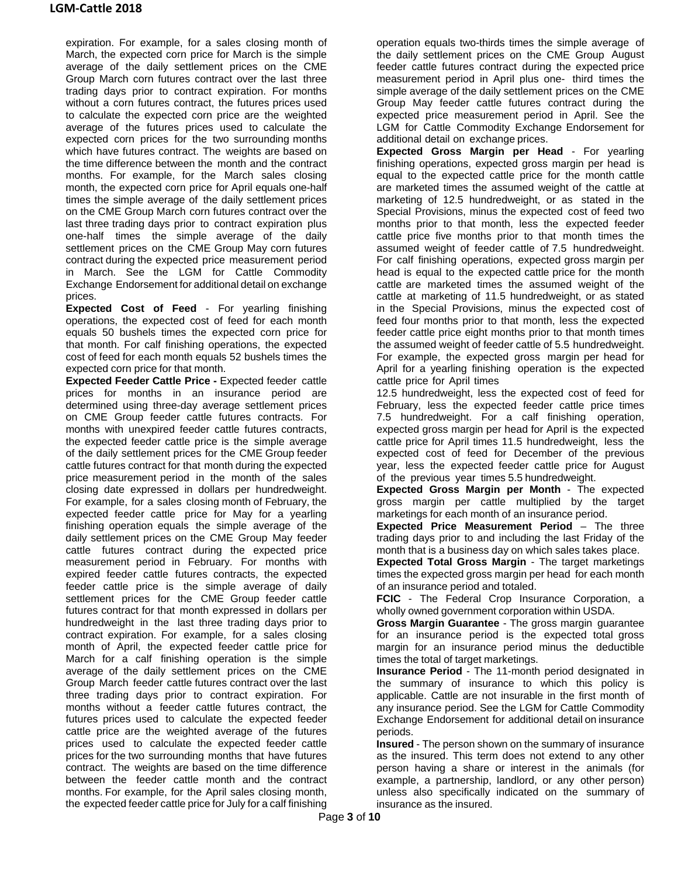expiration. For example, for a sales closing month of March, the expected corn price for March is the simple average of the daily settlement prices on the CME Group March corn futures contract over the last three trading days prior to contract expiration. For months without a corn futures contract, the futures prices used to calculate the expected corn price are the weighted average of the futures prices used to calculate the expected corn prices for the two surrounding months which have futures contract. The weights are based on the time difference between the month and the contract months. For example, for the March sales closing month, the expected corn price for April equals one-half times the simple average of the daily settlement prices on the CME Group March corn futures contract over the last three trading days prior to contract expiration plus one-half times the simple average of the daily settlement prices on the CME Group May corn futures contract during the expected price measurement period in March. See the LGM for Cattle Commodity Exchange Endorsement for additional detail on exchange prices.

**Expected Cost of Feed** - For yearling finishing operations, the expected cost of feed for each month equals 50 bushels times the expected corn price for that month. For calf finishing operations, the expected cost of feed for each month equals 52 bushels times the expected corn price for that month.

**Expected Feeder Cattle Price -** Expected feeder cattle prices for months in an insurance period are determined using three-day average settlement prices on CME Group feeder cattle futures contracts. For months with unexpired feeder cattle futures contracts, the expected feeder cattle price is the simple average of the daily settlement prices for the CME Group feeder cattle futures contract for that month during the expected price measurement period in the month of the sales closing date expressed in dollars per hundredweight. For example, for a sales closing month of February, the expected feeder cattle price for May for a yearling finishing operation equals the simple average of the daily settlement prices on the CME Group May feeder cattle futures contract during the expected price measurement period in February. For months with expired feeder cattle futures contracts, the expected feeder cattle price is the simple average of daily settlement prices for the CME Group feeder cattle futures contract for that month expressed in dollars per hundredweight in the last three trading days prior to contract expiration. For example, for a sales closing month of April, the expected feeder cattle price for March for a calf finishing operation is the simple average of the daily settlement prices on the CME Group March feeder cattle futures contract over the last three trading days prior to contract expiration. For months without a feeder cattle futures contract, the futures prices used to calculate the expected feeder cattle price are the weighted average of the futures prices used to calculate the expected feeder cattle prices for the two surrounding months that have futures contract. The weights are based on the time difference between the feeder cattle month and the contract months. For example, for the April sales closing month, the expected feeder cattle price for July for a calf finishing operation equals two-thirds times the simple average of the daily settlement prices on the CME Group August feeder cattle futures contract during the expected price measurement period in April plus one- third times the simple average of the daily settlement prices on the CME Group May feeder cattle futures contract during the expected price measurement period in April. See the LGM for Cattle Commodity Exchange Endorsement for additional detail on exchange prices.

**Expected Gross Margin per Head** - For yearling finishing operations, expected gross margin per head is equal to the expected cattle price for the month cattle are marketed times the assumed weight of the cattle at marketing of 12.5 hundredweight, or as stated in the Special Provisions, minus the expected cost of feed two months prior to that month, less the expected feeder cattle price five months prior to that month times the assumed weight of feeder cattle of 7.5 hundredweight. For calf finishing operations, expected gross margin per head is equal to the expected cattle price for the month cattle are marketed times the assumed weight of the cattle at marketing of 11.5 hundredweight, or as stated in the Special Provisions, minus the expected cost of feed four months prior to that month, less the expected feeder cattle price eight months prior to that month times the assumed weight of feeder cattle of 5.5 hundredweight. For example, the expected gross margin per head for April for a yearling finishing operation is the expected cattle price for April times

12.5 hundredweight, less the expected cost of feed for February, less the expected feeder cattle price times 7.5 hundredweight. For a calf finishing operation, expected gross margin per head for April is the expected cattle price for April times 11.5 hundredweight, less the expected cost of feed for December of the previous year, less the expected feeder cattle price for August of the previous year times 5.5 hundredweight.

**Expected Gross Margin per Month** - The expected gross margin per cattle multiplied by the target marketings for each month of an insurance period.

**Expected Price Measurement Period** – The three trading days prior to and including the last Friday of the month that is a business day on which sales takes place.

**Expected Total Gross Margin** - The target marketings times the expected gross margin per head for each month of an insurance period and totaled.

**FCIC** - The Federal Crop Insurance Corporation, a wholly owned government corporation within USDA.

**Gross Margin Guarantee** - The gross margin guarantee for an insurance period is the expected total gross margin for an insurance period minus the deductible times the total of target marketings.

**Insurance Period** - The 11-month period designated in the summary of insurance to which this policy is applicable. Cattle are not insurable in the first month of any insurance period. See the LGM for Cattle Commodity Exchange Endorsement for additional detail on insurance periods.

**Insured** - The person shown on the summary of insurance as the insured. This term does not extend to any other person having a share or interest in the animals (for example, a partnership, landlord, or any other person) unless also specifically indicated on the summary of insurance as the insured.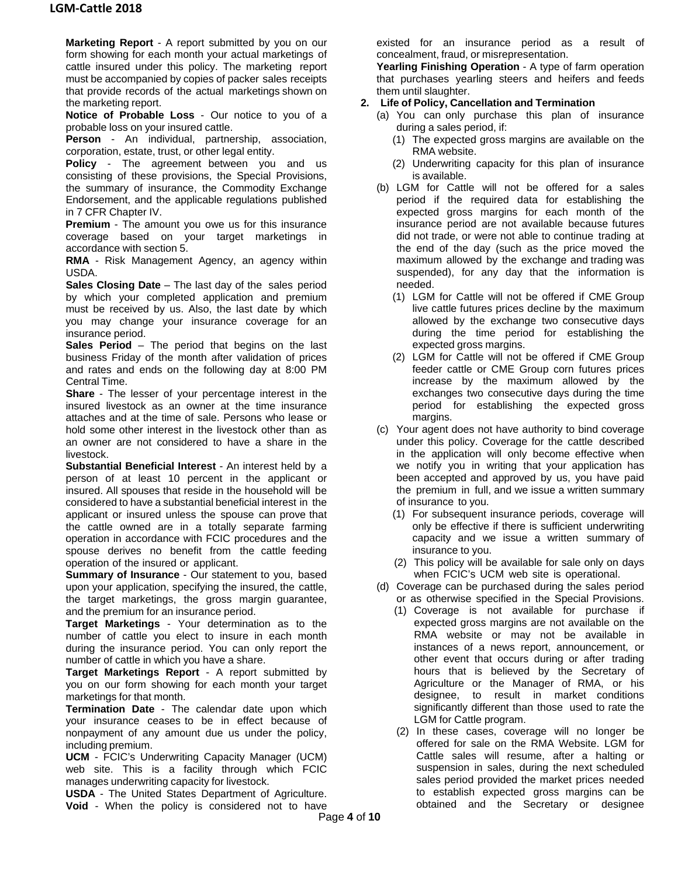**Marketing Report** - A report submitted by you on our form showing for each month your actual marketings of cattle insured under this policy. The marketing report must be accompanied by copies of packer sales receipts that provide records of the actual marketings shown on the marketing report.

**Notice of Probable Loss** - Our notice to you of a probable loss on your insured cattle.

**Person** - An individual, partnership, association, corporation, estate, trust, or other legal entity.

**Policy** - The agreement between you and us consisting of these provisions, the Special Provisions, the summary of insurance, the Commodity Exchange Endorsement, and the applicable regulations published in 7 CFR Chapter IV.

**Premium** - The amount you owe us for this insurance coverage based on your target marketings in accordance with section 5.

**RMA** - Risk Management Agency, an agency within USDA.

**Sales Closing Date** – The last day of the sales period by which your completed application and premium must be received by us. Also, the last date by which you may change your insurance coverage for an insurance period.

**Sales Period** – The period that begins on the last business Friday of the month after validation of prices and rates and ends on the following day at 8:00 PM Central Time.

**Share** - The lesser of your percentage interest in the insured livestock as an owner at the time insurance attaches and at the time of sale. Persons who lease or hold some other interest in the livestock other than as an owner are not considered to have a share in the livestock.

**Substantial Beneficial Interest** - An interest held by a person of at least 10 percent in the applicant or insured. All spouses that reside in the household will be considered to have a substantial beneficial interest in the applicant or insured unless the spouse can prove that the cattle owned are in a totally separate farming operation in accordance with FCIC procedures and the spouse derives no benefit from the cattle feeding operation of the insured or applicant.

**Summary of Insurance** - Our statement to you, based upon your application, specifying the insured, the cattle, the target marketings, the gross margin guarantee, and the premium for an insurance period.

**Target Marketings** - Your determination as to the number of cattle you elect to insure in each month during the insurance period. You can only report the number of cattle in which you have a share.

**Target Marketings Report** - A report submitted by you on our form showing for each month your target marketings for that month.

**Termination Date** - The calendar date upon which your insurance ceases to be in effect because of nonpayment of any amount due us under the policy, including premium.

**UCM** - FCIC's Underwriting Capacity Manager (UCM) web site. This is a facility through which FCIC manages underwriting capacity for livestock.

**USDA** - The United States Department of Agriculture.

**Void** - When the policy is considered not to have

existed for an insurance period as a result of concealment, fraud, or misrepresentation.

**Yearling Finishing Operation** - A type of farm operation that purchases yearling steers and heifers and feeds them until slaughter.

## **2. Life of Policy, Cancellation and Termination**

- (a) You can only purchase this plan of insurance during a sales period, if:
	- (1) The expected gross margins are available on the RMA website.
	- (2) Underwriting capacity for this plan of insurance is available.
- (b) LGM for Cattle will not be offered for a sales period if the required data for establishing the expected gross margins for each month of the insurance period are not available because futures did not trade, or were not able to continue trading at the end of the day (such as the price moved the maximum allowed by the exchange and trading was suspended), for any day that the information is needed.
	- (1) LGM for Cattle will not be offered if CME Group live cattle futures prices decline by the maximum allowed by the exchange two consecutive days during the time period for establishing the expected gross margins.
	- (2) LGM for Cattle will not be offered if CME Group feeder cattle or CME Group corn futures prices increase by the maximum allowed by the exchanges two consecutive days during the time period for establishing the expected gross margins.
- (c) Your agent does not have authority to bind coverage under this policy. Coverage for the cattle described in the application will only become effective when we notify you in writing that your application has been accepted and approved by us, you have paid the premium in full, and we issue a written summary of insurance to you.
	- (1) For subsequent insurance periods, coverage will only be effective if there is sufficient underwriting capacity and we issue a written summary of insurance to you.
	- (2) This policy will be available for sale only on days when FCIC's UCM web site is operational.
- (d) Coverage can be purchased during the sales period or as otherwise specified in the Special Provisions.
	- (1) Coverage is not available for purchase if expected gross margins are not available on the RMA website or may not be available in instances of a news report, announcement, or other event that occurs during or after trading hours that is believed by the Secretary of Agriculture or the Manager of RMA, or his designee, to result in market conditions significantly different than those used to rate the LGM for Cattle program.
	- (2) In these cases, coverage will no longer be offered for sale on the RMA Website. LGM for Cattle sales will resume, after a halting or suspension in sales, during the next scheduled sales period provided the market prices needed to establish expected gross margins can be obtained and the Secretary or designee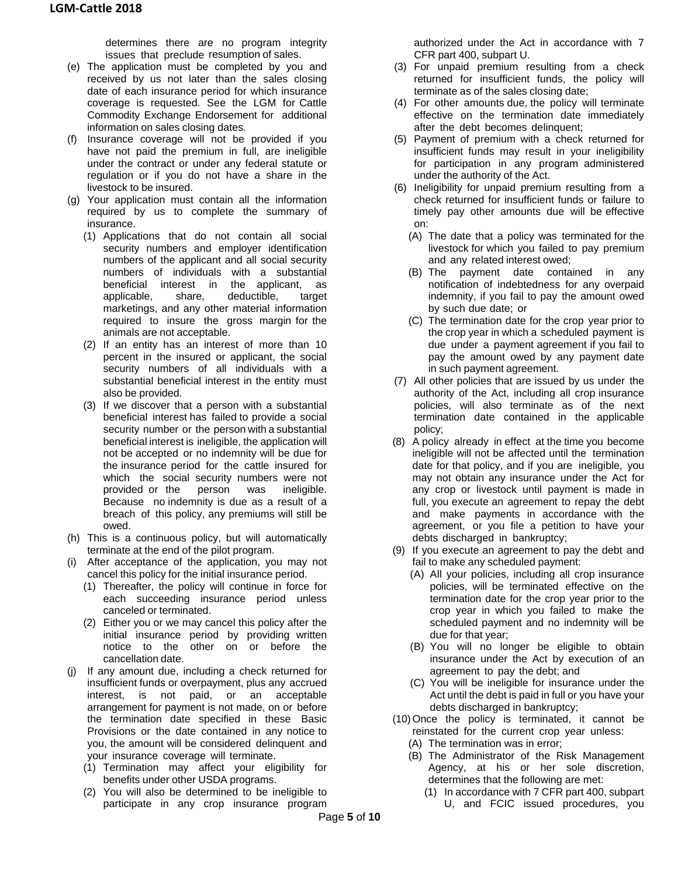determines there are no program integrity issues that preclude resumption of sales.

- (e) The application must be completed by you and received by us not later than the sales closing date of each insurance period for which insurance coverage is requested. See the LGM for Cattle Commodity Exchange Endorsement for additional information on sales closing dates.
- (f) Insurance coverage will not be provided if you have not paid the premium in full, are ineligible under the contract or under any federal statute or regulation or if you do not have a share in the livestock to be insured.
- (g) Your application must contain all the information required by us to complete the summary of insurance.
	- (1) Applications that do not contain all social security numbers and employer identification numbers of the applicant and all social security numbers of individuals with a substantial beneficial interest in the applicant, as applicable, share, deductible, target marketings, and any other material information required to insure the gross margin for the animals are not acceptable.
	- (2) If an entity has an interest of more than 10 percent in the insured or applicant, the social security numbers of all individuals with a substantial beneficial interest in the entity must also be provided.
	- (3) If we discover that a person with a substantial beneficial interest has failed to provide a social security number or the person with a substantial beneficial interest is ineligible, the application will not be accepted or no indemnity will be due for the insurance period for the cattle insured for which the social security numbers were not provided or the person was ineligible. Because no indemnity is due as a result of a breach of this policy, any premiums will still be owed.
- (h) This is a continuous policy, but will automatically terminate at the end of the pilot program.
- (i) After acceptance of the application, you may not cancel this policy for the initial insurance period.
	- (1) Thereafter, the policy will continue in force for each succeeding insurance period unless canceled or terminated.
	- (2) Either you or we may cancel this policy after the initial insurance period by providing written notice to the other on or before the cancellation date.
- (j) If any amount due, including a check returned for insufficient funds or overpayment, plus any accrued interest, is not paid, or an acceptable arrangement for payment is not made, on or before the termination date specified in these Basic Provisions or the date contained in any notice to you, the amount will be considered delinquent and your insurance coverage will terminate.
	- (1) Termination may affect your eligibility for benefits under other USDA programs.
	- (2) You will also be determined to be ineligible to participate in any crop insurance program

authorized under the Act in accordance with 7 CFR part 400, subpart U.

- (3) For unpaid premium resulting from a check returned for insufficient funds, the policy will terminate as of the sales closing date;
- (4) For other amounts due, the policy will terminate effective on the termination date immediately after the debt becomes delinquent;
- (5) Payment of premium with a check returned for insufficient funds may result in your ineligibility for participation in any program administered under the authority of the Act.
- (6) Ineligibility for unpaid premium resulting from a check returned for insufficient funds or failure to timely pay other amounts due will be effective on:
	- (A) The date that a policy was terminated for the livestock for which you failed to pay premium and any related interest owed;
	- (B) The payment date contained in any notification of indebtedness for any overpaid indemnity, if you fail to pay the amount owed by such due date; or
	- (C) The termination date for the crop year prior to the crop year in which a scheduled payment is due under a payment agreement if you fail to pay the amount owed by any payment date in such payment agreement.
- (7) All other policies that are issued by us under the authority of the Act, including all crop insurance policies, will also terminate as of the next termination date contained in the applicable policy;
- (8) A policy already in effect at the time you become ineligible will not be affected until the termination date for that policy, and if you are ineligible, you may not obtain any insurance under the Act for any crop or livestock until payment is made in full, you execute an agreement to repay the debt and make payments in accordance with the agreement, or you file a petition to have your debts discharged in bankruptcy;
- (9) If you execute an agreement to pay the debt and fail to make any scheduled payment:
	- (A) All your policies, including all crop insurance policies, will be terminated effective on the termination date for the crop year prior to the crop year in which you failed to make the scheduled payment and no indemnity will be due for that year;
	- (B) You will no longer be eligible to obtain insurance under the Act by execution of an agreement to pay the debt; and
	- (C) You will be ineligible for insurance under the Act until the debt is paid in full or you have your debts discharged in bankruptcy;
- (10) Once the policy is terminated, it cannot be reinstated for the current crop year unless: (A) The termination was in error;
	- (B) The Administrator of the Risk Management Agency, at his or her sole discretion, determines that the following are met:
		- (1) In accordance with 7 CFR part 400, subpart U, and FCIC issued procedures, you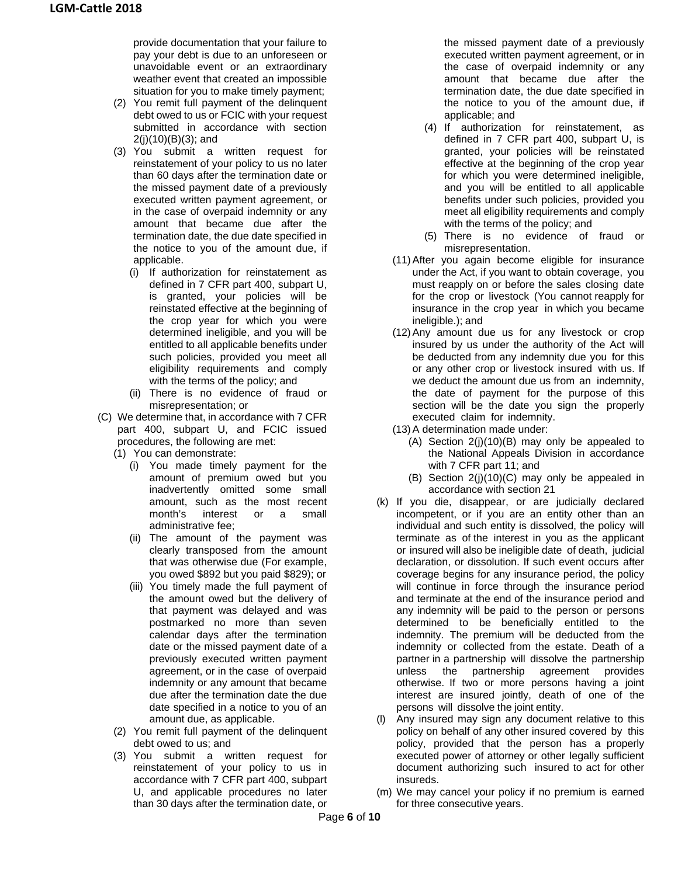provide documentation that your failure to pay your debt is due to an unforeseen or unavoidable event or an extraordinary weather event that created an impossible situation for you to make timely payment;

- (2) You remit full payment of the delinquent debt owed to us or FCIC with your request submitted in accordance with section 2(j)(10)(B)(3); and
- (3) You submit a written request for reinstatement of your policy to us no later than 60 days after the termination date or the missed payment date of a previously executed written payment agreement, or in the case of overpaid indemnity or any amount that became due after the termination date, the due date specified in the notice to you of the amount due, if applicable.
	- (i) If authorization for reinstatement as defined in 7 CFR part 400, subpart U, is granted, your policies will be reinstated effective at the beginning of the crop year for which you were determined ineligible, and you will be entitled to all applicable benefits under such policies, provided you meet all eligibility requirements and comply with the terms of the policy; and
	- (ii) There is no evidence of fraud or misrepresentation; or
- (C) We determine that, in accordance with 7 CFR part 400, subpart U, and FCIC issued procedures, the following are met:
	- (1) You can demonstrate:
		- (i) You made timely payment for the amount of premium owed but you inadvertently omitted some small amount, such as the most recent month's interest or a small administrative fee;
		- (ii) The amount of the payment was clearly transposed from the amount that was otherwise due (For example, you owed \$892 but you paid \$829); or
		- (iii) You timely made the full payment of the amount owed but the delivery of that payment was delayed and was postmarked no more than seven calendar days after the termination date or the missed payment date of a previously executed written payment agreement, or in the case of overpaid indemnity or any amount that became due after the termination date the due date specified in a notice to you of an amount due, as applicable.
	- (2) You remit full payment of the delinquent debt owed to us; and
	- (3) You submit a written request for reinstatement of your policy to us in accordance with 7 CFR part 400, subpart U, and applicable procedures no later than 30 days after the termination date, or

the missed payment date of a previously executed written payment agreement, or in the case of overpaid indemnity or any amount that became due after the termination date, the due date specified in the notice to you of the amount due, if applicable; and

- (4) If authorization for reinstatement, as defined in 7 CFR part 400, subpart U, is granted, your policies will be reinstated effective at the beginning of the crop year for which you were determined ineligible, and you will be entitled to all applicable benefits under such policies, provided you meet all eligibility requirements and comply with the terms of the policy; and
- (5) There is no evidence of fraud or misrepresentation.
- (11)After you again become eligible for insurance under the Act, if you want to obtain coverage, you must reapply on or before the sales closing date for the crop or livestock (You cannot reapply for insurance in the crop year in which you became ineligible.); and
- (12)Any amount due us for any livestock or crop insured by us under the authority of the Act will be deducted from any indemnity due you for this or any other crop or livestock insured with us. If we deduct the amount due us from an indemnity, the date of payment for the purpose of this section will be the date you sign the properly executed claim for indemnity.
- (13)A determination made under:
	- (A) Section 2(j)(10)(B) may only be appealed to the National Appeals Division in accordance with 7 CFR part 11; and
	- (B) Section 2(j)(10)(C) may only be appealed in accordance with section 21
- (k) If you die, disappear, or are judicially declared incompetent, or if you are an entity other than an individual and such entity is dissolved, the policy will terminate as of the interest in you as the applicant or insured will also be ineligible date of death, judicial declaration, or dissolution. If such event occurs after coverage begins for any insurance period, the policy will continue in force through the insurance period and terminate at the end of the insurance period and any indemnity will be paid to the person or persons determined to be beneficially entitled to the indemnity. The premium will be deducted from the indemnity or collected from the estate. Death of a partner in a partnership will dissolve the partnership unless the partnership agreement provides otherwise. If two or more persons having a joint interest are insured jointly, death of one of the persons will dissolve the joint entity.
- (l) Any insured may sign any document relative to this policy on behalf of any other insured covered by this policy, provided that the person has a properly executed power of attorney or other legally sufficient document authorizing such insured to act for other insureds.
- (m) We may cancel your policy if no premium is earned for three consecutive years.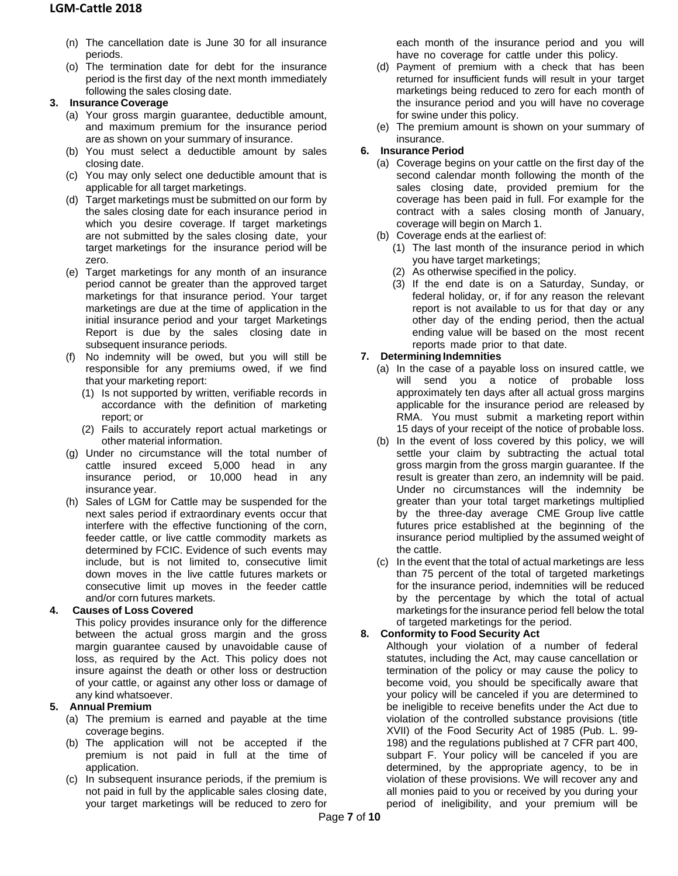- (n) The cancellation date is June 30 for all insurance periods.
- (o) The termination date for debt for the insurance period is the first day of the next month immediately following the sales closing date.

## **3. Insurance Coverage**

- (a) Your gross margin guarantee, deductible amount, and maximum premium for the insurance period are as shown on your summary of insurance.
- (b) You must select a deductible amount by sales closing date.
- (c) You may only select one deductible amount that is applicable for all target marketings.
- (d) Target marketings must be submitted on our form by the sales closing date for each insurance period in which you desire coverage. If target marketings are not submitted by the sales closing date, your target marketings for the insurance period will be zero.
- (e) Target marketings for any month of an insurance period cannot be greater than the approved target marketings for that insurance period. Your target marketings are due at the time of application in the initial insurance period and your target Marketings Report is due by the sales closing date in subsequent insurance periods.
- (f) No indemnity will be owed, but you will still be responsible for any premiums owed, if we find that your marketing report:
	- (1) Is not supported by written, verifiable records in accordance with the definition of marketing report; or
	- (2) Fails to accurately report actual marketings or other material information.
- (g) Under no circumstance will the total number of cattle insured exceed 5,000 head in any insurance period, or 10,000 head in any insurance year.
- (h) Sales of LGM for Cattle may be suspended for the next sales period if extraordinary events occur that interfere with the effective functioning of the corn, feeder cattle, or live cattle commodity markets as determined by FCIC. Evidence of such events may include, but is not limited to, consecutive limit down moves in the live cattle futures markets or consecutive limit up moves in the feeder cattle and/or corn futures markets.

# **4. Causes of Loss Covered**

This policy provides insurance only for the difference between the actual gross margin and the gross margin guarantee caused by unavoidable cause of loss, as required by the Act. This policy does not insure against the death or other loss or destruction of your cattle, or against any other loss or damage of any kind whatsoever.

# **5. Annual Premium**

- (a) The premium is earned and payable at the time coverage begins.
- (b) The application will not be accepted if the premium is not paid in full at the time of application.
- (c) In subsequent insurance periods, if the premium is not paid in full by the applicable sales closing date, your target marketings will be reduced to zero for

each month of the insurance period and you will have no coverage for cattle under this policy.

- (d) Payment of premium with a check that has been returned for insufficient funds will result in your target marketings being reduced to zero for each month of the insurance period and you will have no coverage for swine under this policy.
- (e) The premium amount is shown on your summary of insurance.

# **6. Insurance Period**

- (a) Coverage begins on your cattle on the first day of the second calendar month following the month of the sales closing date, provided premium for the coverage has been paid in full. For example for the contract with a sales closing month of January, coverage will begin on March 1.
- (b) Coverage ends at the earliest of:
	- (1) The last month of the insurance period in which you have target marketings;
	- (2) As otherwise specified in the policy.
	- (3) If the end date is on a Saturday, Sunday, or federal holiday, or, if for any reason the relevant report is not available to us for that day or any other day of the ending period, then the actual ending value will be based on the most recent reports made prior to that date.

# **7. Determining Indemnities**

- (a) In the case of a payable loss on insured cattle, we will send you a notice of probable loss approximately ten days after all actual gross margins applicable for the insurance period are released by RMA. You must submit a marketing report within 15 days of your receipt of the notice of probable loss.
- (b) In the event of loss covered by this policy, we will settle your claim by subtracting the actual total gross margin from the gross margin guarantee. If the result is greater than zero, an indemnity will be paid. Under no circumstances will the indemnity be greater than your total target marketings multiplied by the three-day average CME Group live cattle futures price established at the beginning of the insurance period multiplied by the assumed weight of the cattle.
- (c) In the event that the total of actual marketings are less than 75 percent of the total of targeted marketings for the insurance period, indemnities will be reduced by the percentage by which the total of actual marketings for the insurance period fell below the total of targeted marketings for the period.

# **8. Conformity to Food Security Act**

Although your violation of a number of federal statutes, including the Act, may cause cancellation or termination of the policy or may cause the policy to become void, you should be specifically aware that your policy will be canceled if you are determined to be ineligible to receive benefits under the Act due to violation of the controlled substance provisions (title XVII) of the Food Security Act of 1985 (Pub. L. 99- 198) and the regulations published at 7 CFR part 400, subpart F. Your policy will be canceled if you are determined, by the appropriate agency, to be in violation of these provisions. We will recover any and all monies paid to you or received by you during your period of ineligibility, and your premium will be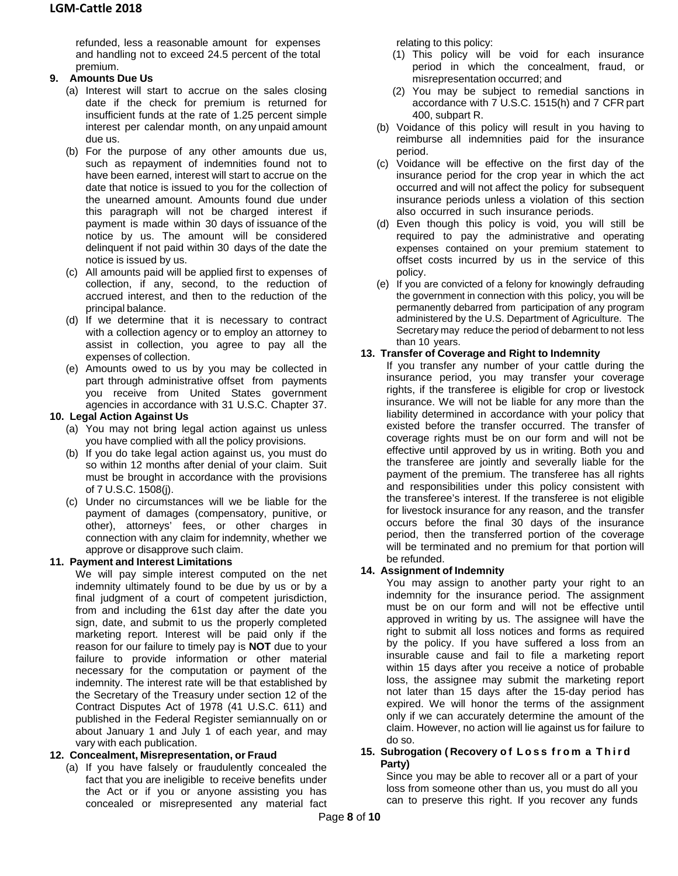refunded, less a reasonable amount for expenses and handling not to exceed 24.5 percent of the total premium.

## **9. Amounts Due Us**

- (a) Interest will start to accrue on the sales closing date if the check for premium is returned for insufficient funds at the rate of 1.25 percent simple interest per calendar month, on any unpaid amount due us.
- (b) For the purpose of any other amounts due us, such as repayment of indemnities found not to have been earned, interest will start to accrue on the date that notice is issued to you for the collection of the unearned amount. Amounts found due under this paragraph will not be charged interest if payment is made within 30 days of issuance of the notice by us. The amount will be considered delinquent if not paid within 30 days of the date the notice is issued by us.
- (c) All amounts paid will be applied first to expenses of collection, if any, second, to the reduction of accrued interest, and then to the reduction of the principal balance.
- (d) If we determine that it is necessary to contract with a collection agency or to employ an attorney to assist in collection, you agree to pay all the expenses of collection.
- (e) Amounts owed to us by you may be collected in part through administrative offset from payments you receive from United States government agencies in accordance with 31 U.S.C. Chapter 37.

## **10. Legal Action Against Us**

- (a) You may not bring legal action against us unless you have complied with all the policy provisions.
- (b) If you do take legal action against us, you must do so within 12 months after denial of your claim. Suit must be brought in accordance with the provisions of 7 U.S.C. 1508(j).
- (c) Under no circumstances will we be liable for the payment of damages (compensatory, punitive, or other), attorneys' fees, or other charges in connection with any claim for indemnity, whether we approve or disapprove such claim.

# **11. Payment and Interest Limitations**

We will pay simple interest computed on the net indemnity ultimately found to be due by us or by a final judgment of a court of competent jurisdiction, from and including the 61st day after the date you sign, date, and submit to us the properly completed marketing report. Interest will be paid only if the reason for our failure to timely pay is **NOT** due to your failure to provide information or other material necessary for the computation or payment of the indemnity. The interest rate will be that established by the Secretary of the Treasury under section 12 of the Contract Disputes Act of 1978 (41 U.S.C. 611) and published in the Federal Register semiannually on or about January 1 and July 1 of each year, and may vary with each publication.

## **12. Concealment, Misrepresentation, or Fraud**

(a) If you have falsely or fraudulently concealed the fact that you are ineligible to receive benefits under the Act or if you or anyone assisting you has concealed or misrepresented any material fact relating to this policy:

- (1) This policy will be void for each insurance period in which the concealment, fraud, or misrepresentation occurred; and
- (2) You may be subject to remedial sanctions in accordance with 7 U.S.C. 1515(h) and 7 CFR part 400, subpart R.
- (b) Voidance of this policy will result in you having to reimburse all indemnities paid for the insurance period.
- (c) Voidance will be effective on the first day of the insurance period for the crop year in which the act occurred and will not affect the policy for subsequent insurance periods unless a violation of this section also occurred in such insurance periods.
- (d) Even though this policy is void, you will still be required to pay the administrative and operating expenses contained on your premium statement to offset costs incurred by us in the service of this policy.
- (e) If you are convicted of a felony for knowingly defrauding the government in connection with this policy, you will be permanently debarred from participation of any program administered by the U.S. Department of Agriculture. The Secretary may reduce the period of debarment to not less than 10 years.

## **13. Transfer of Coverage and Right to Indemnity**

If you transfer any number of your cattle during the insurance period, you may transfer your coverage rights, if the transferee is eligible for crop or livestock insurance. We will not be liable for any more than the liability determined in accordance with your policy that existed before the transfer occurred. The transfer of coverage rights must be on our form and will not be effective until approved by us in writing. Both you and the transferee are jointly and severally liable for the payment of the premium. The transferee has all rights and responsibilities under this policy consistent with the transferee's interest. If the transferee is not eligible for livestock insurance for any reason, and the transfer occurs before the final 30 days of the insurance period, then the transferred portion of the coverage will be terminated and no premium for that portion will be refunded.

## **14. Assignment of Indemnity**

You may assign to another party your right to an indemnity for the insurance period. The assignment must be on our form and will not be effective until approved in writing by us. The assignee will have the right to submit all loss notices and forms as required by the policy. If you have suffered a loss from an insurable cause and fail to file a marketing report within 15 days after you receive a notice of probable loss, the assignee may submit the marketing report not later than 15 days after the 15-day period has expired. We will honor the terms of the assignment only if we can accurately determine the amount of the claim. However, no action will lie against us for failure to do so.

#### **15. Subrogation ( Recovery o f Loss from a Third Party)**

Since you may be able to recover all or a part of your loss from someone other than us, you must do all you can to preserve this right. If you recover any funds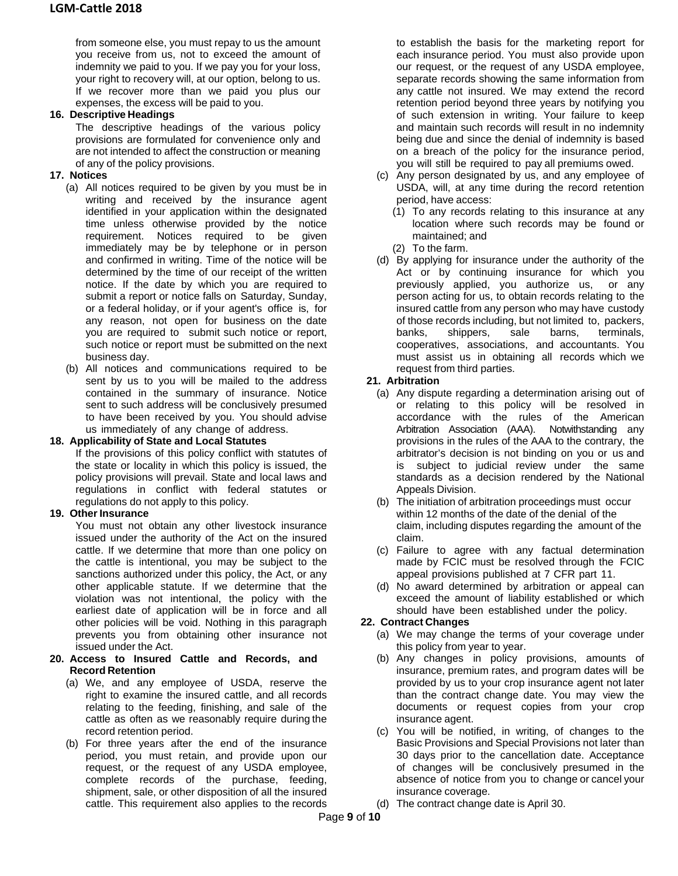from someone else, you must repay to us the amount you receive from us, not to exceed the amount of indemnity we paid to you. If we pay you for your loss, your right to recovery will, at our option, belong to us. If we recover more than we paid you plus our expenses, the excess will be paid to you.

## **16. Descriptive Headings**

The descriptive headings of the various policy provisions are formulated for convenience only and are not intended to affect the construction or meaning of any of the policy provisions.

## **17. Notices**

- (a) All notices required to be given by you must be in writing and received by the insurance agent identified in your application within the designated time unless otherwise provided by the notice requirement. Notices required to be given immediately may be by telephone or in person and confirmed in writing. Time of the notice will be determined by the time of our receipt of the written notice. If the date by which you are required to submit a report or notice falls on Saturday, Sunday, or a federal holiday, or if your agent's office is, for any reason, not open for business on the date you are required to submit such notice or report, such notice or report must be submitted on the next business day.
- (b) All notices and communications required to be sent by us to you will be mailed to the address contained in the summary of insurance. Notice sent to such address will be conclusively presumed to have been received by you. You should advise us immediately of any change of address.

## **18. Applicability of State and Local Statutes**

If the provisions of this policy conflict with statutes of the state or locality in which this policy is issued, the policy provisions will prevail. State and local laws and regulations in conflict with federal statutes or regulations do not apply to this policy.

## **19. Other Insurance**

You must not obtain any other livestock insurance issued under the authority of the Act on the insured cattle. If we determine that more than one policy on the cattle is intentional, you may be subject to the sanctions authorized under this policy, the Act, or any other applicable statute. If we determine that the violation was not intentional, the policy with the earliest date of application will be in force and all other policies will be void. Nothing in this paragraph prevents you from obtaining other insurance not issued under the Act.

#### **20. Access to Insured Cattle and Records, and Record Retention**

- (a) We, and any employee of USDA, reserve the right to examine the insured cattle, and all records relating to the feeding, finishing, and sale of the cattle as often as we reasonably require during the record retention period.
- (b) For three years after the end of the insurance period, you must retain, and provide upon our request, or the request of any USDA employee, complete records of the purchase, feeding, shipment, sale, or other disposition of all the insured cattle. This requirement also applies to the records

to establish the basis for the marketing report for each insurance period. You must also provide upon our request, or the request of any USDA employee, separate records showing the same information from any cattle not insured. We may extend the record retention period beyond three years by notifying you of such extension in writing. Your failure to keep and maintain such records will result in no indemnity being due and since the denial of indemnity is based on a breach of the policy for the insurance period, you will still be required to pay all premiums owed.

- (c) Any person designated by us, and any employee of USDA, will, at any time during the record retention period, have access:
	- (1) To any records relating to this insurance at any location where such records may be found or maintained; and
	- (2) To the farm.
- (d) By applying for insurance under the authority of the Act or by continuing insurance for which you previously applied, you authorize us, or any person acting for us, to obtain records relating to the insured cattle from any person who may have custody of those records including, but not limited to, packers, banks, shippers, sale barns, terminals, cooperatives, associations, and accountants. You must assist us in obtaining all records which we request from third parties.

## **21. Arbitration**

- (a) Any dispute regarding a determination arising out of or relating to this policy will be resolved in accordance with the rules of the American Arbitration Association (AAA). Notwithstanding any provisions in the rules of the AAA to the contrary, the arbitrator's decision is not binding on you or us and is subject to judicial review under the same standards as a decision rendered by the National Appeals Division.
- (b) The initiation of arbitration proceedings must occur within 12 months of the date of the denial of the claim, including disputes regarding the amount of the claim.
- (c) Failure to agree with any factual determination made by FCIC must be resolved through the FCIC appeal provisions published at 7 CFR part 11.
- (d) No award determined by arbitration or appeal can exceed the amount of liability established or which should have been established under the policy.

# **22. Contract Changes**

- (a) We may change the terms of your coverage under this policy from year to year.
- (b) Any changes in policy provisions, amounts of insurance, premium rates, and program dates will be provided by us to your crop insurance agent not later than the contract change date. You may view the documents or request copies from your crop insurance agent.
- (c) You will be notified, in writing, of changes to the Basic Provisions and Special Provisions not later than 30 days prior to the cancellation date. Acceptance of changes will be conclusively presumed in the absence of notice from you to change or cancel your insurance coverage.
- (d) The contract change date is April 30.